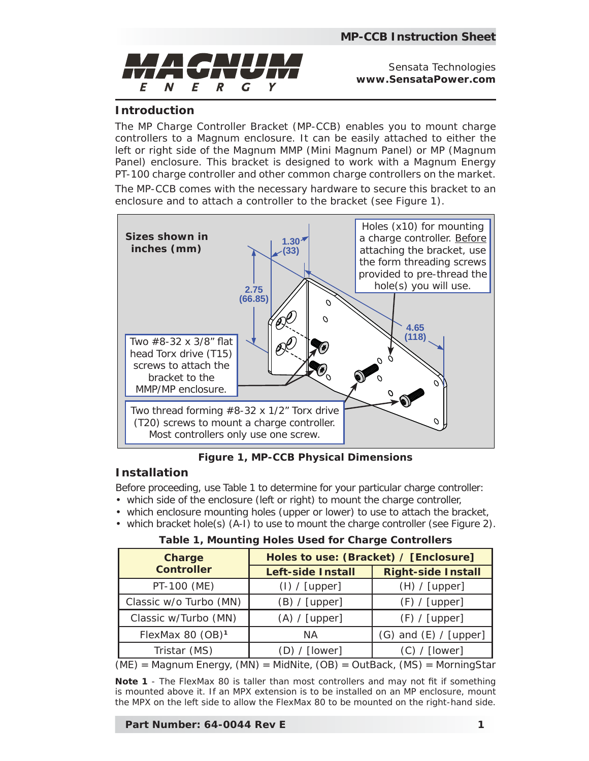

Sensata Technologies **www.SensataPower.com**

## **Introduction**

The MP Charge Controller Bracket (MP-CCB) enables you to mount charge controllers to a Magnum enclosure. It can be easily attached to either the left or right side of the Magnum MMP (Mini Magnum Panel) or MP (Magnum Panel) enclosure. This bracket is designed to work with a Magnum Energy PT-100 charge controller and other common charge controllers on the market.

The MP-CCB comes with the necessary hardware to secure this bracket to an enclosure and to attach a controller to the bracket (see Figure 1).



*Figure 1, MP-CCB Physical Dimensions*

## **Installation**

Before proceeding, use Table 1 to determine for your particular charge controller:

- which side of the enclosure (left or right) to mount the charge controller,
- which enclosure mounting holes (upper or lower) to use to attach the bracket,
- which bracket hole(s) (A-I) to use to mount the charge controller (see Figure 2).

## **Table 1, Mounting Holes Used for Charge Controllers**

| <b>Charge</b><br><b>Controller</b> | Holes to use: (Bracket) / [Enclosure] |                           |
|------------------------------------|---------------------------------------|---------------------------|
|                                    | <b>Left-side Install</b>              | <b>Right-side Install</b> |
| PT-100 (ME)                        | (I) / [upper]                         | (H) / [upper]             |
| Classic w/o Turbo (MN)             | (B) / [upper]                         | (F) / [upper]             |
| Classic w/Turbo (MN)               | (A) / [upper]                         | (F) / [upper]             |
| FlexMax 80 (OB) <sup>1</sup>       | ΝA                                    | $(G)$ and $(E)$ / [upper] |
| Tristar (MS)                       | (D) / [lower]                         | (C) / [lower]             |

(ME) = Magnum Energy, (MN) = MidNite, (OB) = OutBack, (MS) = MorningStar

**Note 1** - The FlexMax 80 is taller than most controllers and may not fit if something *is mounted above it. If an MPX extension is to be installed on an MP enclosure, mount the MPX on the left side to allow the FlexMax 80 to be mounted on the right-hand side.*